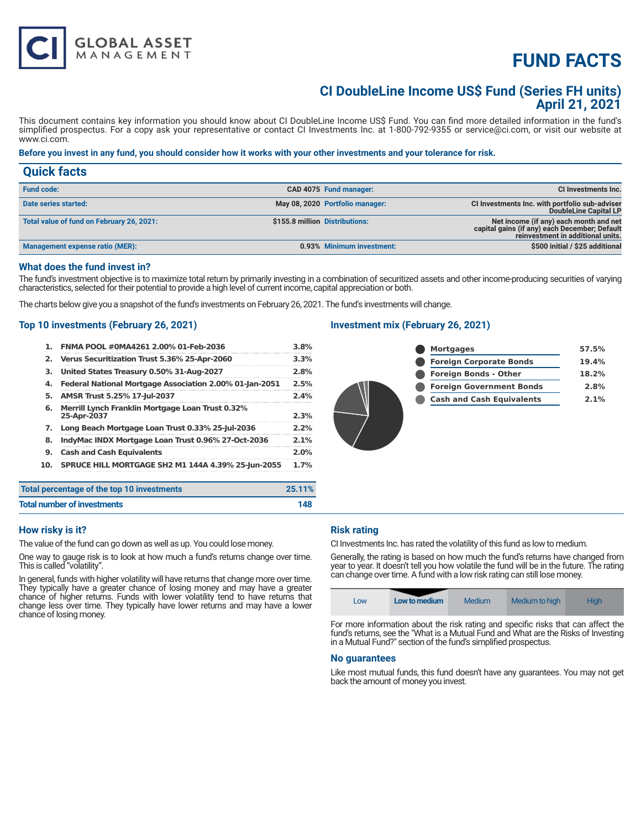# **FUND FACTS**

### **CI DoubleLine Income US\$ Fund (Series FH units) April 21, 2021**

This document contains key information you should know about CI DoubleLine Income US\$ Fund. You can find more detailed information in the fund's simplified prospectus. For a copy ask your representative or contact CI Investments Inc. at 1-800-792-9355 or service@ci.com, or visit our website at www.ci.com.

#### **Before you invest in any fund, you should consider how it works with your other investments and your tolerance for risk.**

| <b>Quick facts</b>                        |                                |                                 |                                                                                                                              |
|-------------------------------------------|--------------------------------|---------------------------------|------------------------------------------------------------------------------------------------------------------------------|
| <b>Fund code:</b>                         |                                | CAD 4075 Fund manager:          | <b>CI Investments Inc.</b>                                                                                                   |
| Date series started:                      |                                | May 08, 2020 Portfolio manager: | CI Investments Inc. with portfolio sub-adviser<br>DoubleLine Capital LP                                                      |
| Total value of fund on February 26, 2021: | \$155.8 million Distributions: |                                 | Net income (if any) each month and net<br>capital gains (if any) each December; Default<br>reinvestment in additional units. |
| Management expense ratio (MER):           |                                | 0.93% Minimum investment:       | \$500 initial / \$25 additional                                                                                              |

#### **What does the fund invest in?**

The fund's investment objective is to maximize total return by primarily investing in a combination of securitized assets and other income-producing securities of varying characteristics, selected for their potential to provide a high level of current income, capital appreciation or both.

The charts below give you a snapshot of the fund's investments on February 26, 2021. The fund's investments will change.

#### **Top 10 investments (February 26, 2021)**

**GLOBAL ASSET**<br>MANAGEMENT

|     | percentage of the top 10 investments                            | 25.11% |
|-----|-----------------------------------------------------------------|--------|
| 10. | <b>SPRUCE HILL MORTGAGE SH2 M1 144A 4.39% 25-Jun-2055</b>       | 1.7%   |
| 9.  | <b>Cash and Cash Equivalents</b>                                | 2.0%   |
| 8.  | IndyMac INDX Mortgage Loan Trust 0.96% 27-Oct-2036              | 2.1%   |
| 7.  | Long Beach Mortgage Loan Trust 0.33% 25-Jul-2036                | 2.2%   |
| 6.  | Merrill Lynch Franklin Mortgage Loan Trust 0.32%<br>25-Apr-2037 | 2.3%   |
| 5.  | AMSR Trust 5.25% 17-Jul-2037                                    | 2.4%   |
| 4.  | Federal National Mortgage Association 2.00% 01-Jan-2051         | 2.5%   |
| з.  | United States Treasury 0.50% 31-Aug-2027                        | 2.8%   |
| 2.  | Verus Securitization Trust 5.36% 25-Apr-2060                    | 3.3%   |
| 1.  | FNMA POOL #0MA4261 2.00% 01-Feb-2036                            | 3.8%   |

### **Investment mix (February 26, 2021)**



| Total percentage of the top 10 investments | 25.11% |
|--------------------------------------------|--------|
| <b>Total number of investments</b>         | 148    |

#### **How risky is it?**

The value of the fund can go down as well as up. You could lose money.

One way to gauge risk is to look at how much a fund's returns change over time. This is called "volatility".

In general, funds with higher volatility will have returns that change more over time. They typically have a greater chance of losing money and may have a greater chance of higher returns. Funds with lower volatility tend to have returns that change less over time. They typically have lower returns and may have a lower chance of losing money.

#### **Risk rating**

CI Investments Inc. has rated the volatility of this fund as low to medium.

Generally, the rating is based on how much the fund's returns have changed from year to year. It doesn't tell you how volatile the fund will be in the future. The rating can change over time. A fund with a low risk rating can still lose money.

| Low | Low to medium | <b>Medium</b> | Medium to high | <b>High</b> |
|-----|---------------|---------------|----------------|-------------|
|-----|---------------|---------------|----------------|-------------|

For more information about the risk rating and specific risks that can affect the fund's returns, see the "What is a Mutual Fund and What are the Risks of Investing in a Mutual Fund?" section of the fund's simplified prospectus.

#### **No guarantees**

Like most mutual funds, this fund doesn't have any guarantees. You may not get back the amount of money you invest.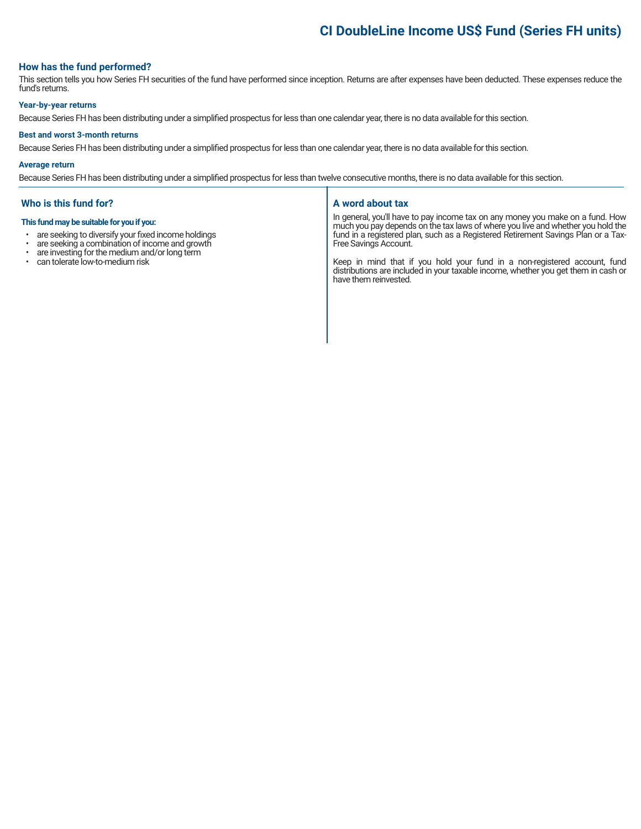# **CI DoubleLine Income US\$ Fund (Series FH units)**

#### **How has the fund performed?**

This section tells you how Series FH securities of the fund have performed since inception. Returns are after expenses have been deducted. These expenses reduce the fund's returns.

#### **Year-by-year returns**

Because Series FH has been distributing under a simplified prospectus for less than one calendar year, there is no data available for this section.

#### **Best and worst 3-month returns**

Because Series FH has been distributing under a simplified prospectus for less than one calendar year, there is no data available for this section.

#### **Average return**

Because Series FH has been distributing under a simplified prospectus for less than twelve consecutive months, there is no data available for this section.

#### **Who is this fund for?**

#### **This fund may be suitable for you if you:**

- are seeking to diversify your fixed income holdings<br>• are seeking a combination of income and growth
- are seeking a combination of income and growth  $\cdot$  are investing for the medium and/or long term
- are investing for the medium and/or long term<br>• can tolerate low-to-medium risk
- can tolerate low-to-medium risk

#### **A word about tax**

In general, you'll have to pay income tax on any money you make on a fund. How much you pay depends on the tax laws of where you live and whether you hold the fund in a registered plan, such as a Registered Retirement Savings Plan or a Tax-Free Savings Account.

Keep in mind that if you hold your fund in a non-registered account, fund distributions are included in your taxable income, whether you get them in cash or have them reinvested.